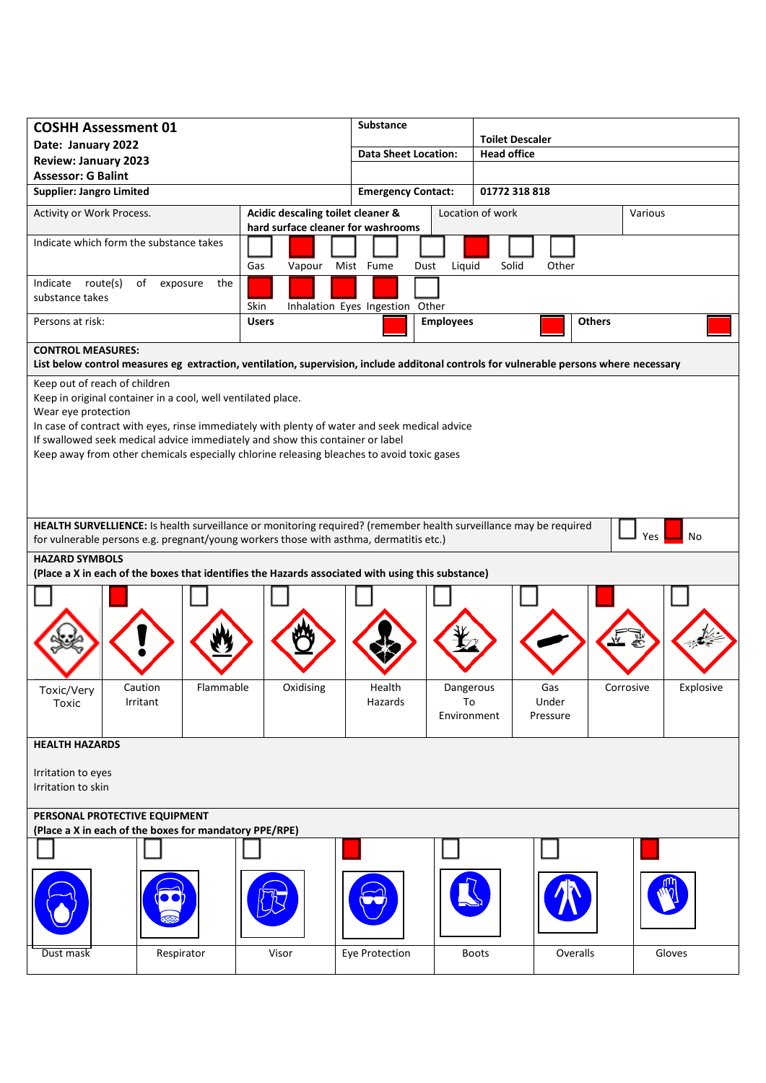| <b>COSHH Assessment 01</b>                                                                                                                                                                                               |                                                                         | <b>Substance</b>          |                             |                  |                                              |           |  |
|--------------------------------------------------------------------------------------------------------------------------------------------------------------------------------------------------------------------------|-------------------------------------------------------------------------|---------------------------|-----------------------------|------------------|----------------------------------------------|-----------|--|
| Date: January 2022                                                                                                                                                                                                       |                                                                         |                           | <b>Data Sheet Location:</b> |                  | <b>Toilet Descaler</b><br><b>Head office</b> |           |  |
| <b>Review: January 2023</b>                                                                                                                                                                                              |                                                                         |                           |                             |                  |                                              |           |  |
| <b>Assessor: G Balint</b><br><b>Supplier: Jangro Limited</b>                                                                                                                                                             |                                                                         | <b>Emergency Contact:</b> |                             | 01772 318 818    |                                              |           |  |
|                                                                                                                                                                                                                          |                                                                         |                           |                             |                  |                                              |           |  |
| Activity or Work Process.                                                                                                                                                                                                | Acidic descaling toilet cleaner &<br>hard surface cleaner for washrooms |                           |                             | Location of work |                                              | Various   |  |
| Indicate which form the substance takes                                                                                                                                                                                  |                                                                         |                           |                             |                  |                                              |           |  |
|                                                                                                                                                                                                                          | Gas<br>Vapour                                                           | Mist Fume<br>Dust         | Liquid                      | Solid<br>Other   |                                              |           |  |
| Indicate route(s)<br>exposure<br>the<br>of                                                                                                                                                                               |                                                                         |                           |                             |                  |                                              |           |  |
| substance takes                                                                                                                                                                                                          | Skin<br>Inhalation Eyes Ingestion Other                                 |                           |                             |                  |                                              |           |  |
| Persons at risk:                                                                                                                                                                                                         | <b>Users</b>                                                            |                           | <b>Employees</b>            |                  | <b>Others</b>                                |           |  |
| <b>CONTROL MEASURES:</b>                                                                                                                                                                                                 |                                                                         |                           |                             |                  |                                              |           |  |
| List below control measures eg extraction, ventilation, supervision, include additonal controls for vulnerable persons where necessary                                                                                   |                                                                         |                           |                             |                  |                                              |           |  |
| Keep out of reach of children                                                                                                                                                                                            |                                                                         |                           |                             |                  |                                              |           |  |
| Keep in original container in a cool, well ventilated place.<br>Wear eye protection                                                                                                                                      |                                                                         |                           |                             |                  |                                              |           |  |
| In case of contract with eyes, rinse immediately with plenty of water and seek medical advice                                                                                                                            |                                                                         |                           |                             |                  |                                              |           |  |
| If swallowed seek medical advice immediately and show this container or label                                                                                                                                            |                                                                         |                           |                             |                  |                                              |           |  |
| Keep away from other chemicals especially chlorine releasing bleaches to avoid toxic gases                                                                                                                               |                                                                         |                           |                             |                  |                                              |           |  |
|                                                                                                                                                                                                                          |                                                                         |                           |                             |                  |                                              |           |  |
|                                                                                                                                                                                                                          |                                                                         |                           |                             |                  |                                              |           |  |
|                                                                                                                                                                                                                          |                                                                         |                           |                             |                  |                                              |           |  |
| HEALTH SURVELLIENCE: Is health surveillance or monitoring required? (remember health surveillance may be required<br>Yes<br>No<br>for vulnerable persons e.g. pregnant/young workers those with asthma, dermatitis etc.) |                                                                         |                           |                             |                  |                                              |           |  |
| <b>HAZARD SYMBOLS</b>                                                                                                                                                                                                    |                                                                         |                           |                             |                  |                                              |           |  |
| (Place a X in each of the boxes that identifies the Hazards associated with using this substance)                                                                                                                        |                                                                         |                           |                             |                  |                                              |           |  |
|                                                                                                                                                                                                                          |                                                                         |                           |                             |                  |                                              |           |  |
|                                                                                                                                                                                                                          |                                                                         |                           |                             |                  |                                              |           |  |
|                                                                                                                                                                                                                          |                                                                         |                           |                             |                  |                                              |           |  |
|                                                                                                                                                                                                                          |                                                                         |                           |                             |                  |                                              |           |  |
|                                                                                                                                                                                                                          |                                                                         |                           |                             |                  |                                              |           |  |
| Flammable<br>Caution<br>Toxic/Very                                                                                                                                                                                       | Oxidising                                                               | Health<br>Hazards         | Dangerous<br>To             | Gas<br>Under     | Corrosive                                    | Explosive |  |
| Irritant<br>Toxic                                                                                                                                                                                                        |                                                                         |                           | Environment                 | Pressure         |                                              |           |  |
|                                                                                                                                                                                                                          |                                                                         |                           |                             |                  |                                              |           |  |
| <b>HEALTH HAZARDS</b>                                                                                                                                                                                                    |                                                                         |                           |                             |                  |                                              |           |  |
| Irritation to eyes                                                                                                                                                                                                       |                                                                         |                           |                             |                  |                                              |           |  |
| Irritation to skin                                                                                                                                                                                                       |                                                                         |                           |                             |                  |                                              |           |  |
|                                                                                                                                                                                                                          |                                                                         |                           |                             |                  |                                              |           |  |
| PERSONAL PROTECTIVE EQUIPMENT<br>(Place a X in each of the boxes for mandatory PPE/RPE)                                                                                                                                  |                                                                         |                           |                             |                  |                                              |           |  |
|                                                                                                                                                                                                                          |                                                                         |                           |                             |                  |                                              |           |  |
|                                                                                                                                                                                                                          |                                                                         |                           |                             |                  |                                              |           |  |
|                                                                                                                                                                                                                          |                                                                         |                           |                             |                  |                                              |           |  |
|                                                                                                                                                                                                                          |                                                                         |                           |                             |                  |                                              |           |  |
|                                                                                                                                                                                                                          |                                                                         |                           |                             |                  |                                              |           |  |
|                                                                                                                                                                                                                          |                                                                         |                           |                             |                  |                                              |           |  |
| Respirator<br>Dust mask                                                                                                                                                                                                  | Visor                                                                   | Eye Protection            |                             | <b>Boots</b>     | Overalls                                     | Gloves    |  |